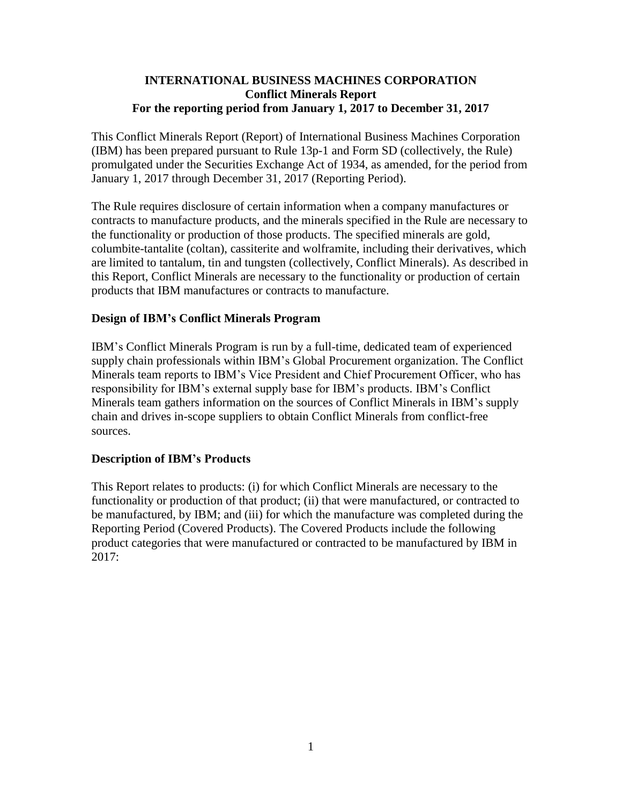### **INTERNATIONAL BUSINESS MACHINES CORPORATION Conflict Minerals Report For the reporting period from January 1, 2017 to December 31, 2017**

This Conflict Minerals Report (Report) of International Business Machines Corporation (IBM) has been prepared pursuant to Rule 13p-1 and Form SD (collectively, the Rule) promulgated under the Securities Exchange Act of 1934, as amended, for the period from January 1, 2017 through December 31, 2017 (Reporting Period).

The Rule requires disclosure of certain information when a company manufactures or contracts to manufacture products, and the minerals specified in the Rule are necessary to the functionality or production of those products. The specified minerals are gold, columbite-tantalite (coltan), cassiterite and wolframite, including their derivatives, which are limited to tantalum, tin and tungsten (collectively, Conflict Minerals). As described in this Report, Conflict Minerals are necessary to the functionality or production of certain products that IBM manufactures or contracts to manufacture.

### **Design of IBM's Conflict Minerals Program**

IBM's Conflict Minerals Program is run by a full-time, dedicated team of experienced supply chain professionals within IBM's Global Procurement organization. The Conflict Minerals team reports to IBM's Vice President and Chief Procurement Officer, who has responsibility for IBM's external supply base for IBM's products. IBM's Conflict Minerals team gathers information on the sources of Conflict Minerals in IBM's supply chain and drives in-scope suppliers to obtain Conflict Minerals from conflict-free sources.

### **Description of IBM's Products**

This Report relates to products: (i) for which Conflict Minerals are necessary to the functionality or production of that product; (ii) that were manufactured, or contracted to be manufactured, by IBM; and (iii) for which the manufacture was completed during the Reporting Period (Covered Products). The Covered Products include the following product categories that were manufactured or contracted to be manufactured by IBM in 2017: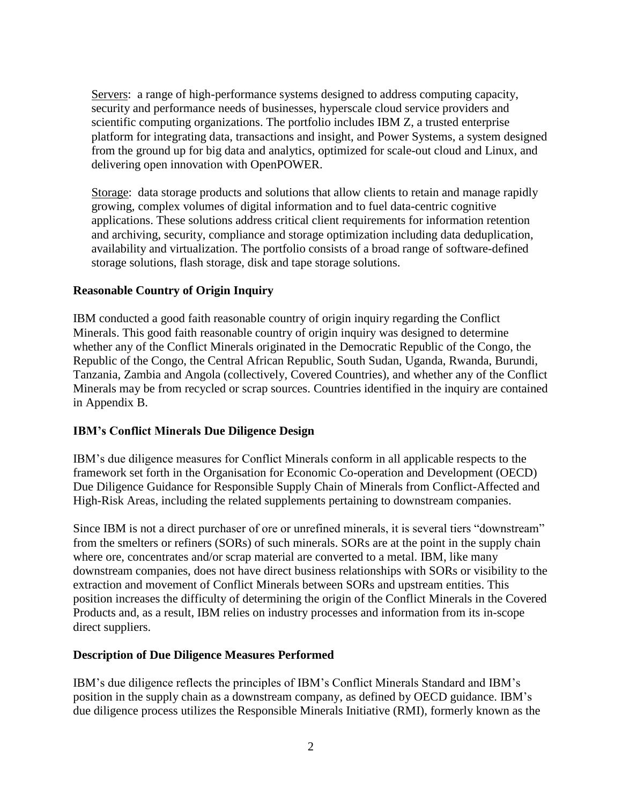Servers: a range of high-performance systems designed to address computing capacity, security and performance needs of businesses, hyperscale cloud service providers and scientific computing organizations. The portfolio includes IBM Z, a trusted enterprise platform for integrating data, transactions and insight, and Power Systems, a system designed from the ground up for big data and analytics, optimized for scale-out cloud and Linux, and delivering open innovation with OpenPOWER.

Storage: data storage products and solutions that allow clients to retain and manage rapidly growing, complex volumes of digital information and to fuel data-centric cognitive applications. These solutions address critical client requirements for information retention and archiving, security, compliance and storage optimization including data deduplication, availability and virtualization. The portfolio consists of a broad range of software-defined storage solutions, flash storage, disk and tape storage solutions.

## **Reasonable Country of Origin Inquiry**

IBM conducted a good faith reasonable country of origin inquiry regarding the Conflict Minerals. This good faith reasonable country of origin inquiry was designed to determine whether any of the Conflict Minerals originated in the Democratic Republic of the Congo, the Republic of the Congo, the Central African Republic, South Sudan, Uganda, Rwanda, Burundi, Tanzania, Zambia and Angola (collectively, Covered Countries), and whether any of the Conflict Minerals may be from recycled or scrap sources. Countries identified in the inquiry are contained in Appendix B.

## **IBM's Conflict Minerals Due Diligence Design**

IBM's due diligence measures for Conflict Minerals conform in all applicable respects to the framework set forth in the Organisation for Economic Co-operation and Development (OECD) Due Diligence Guidance for Responsible Supply Chain of Minerals from Conflict-Affected and High-Risk Areas, including the related supplements pertaining to downstream companies.

Since IBM is not a direct purchaser of ore or unrefined minerals, it is several tiers "downstream" from the smelters or refiners (SORs) of such minerals. SORs are at the point in the supply chain where ore, concentrates and/or scrap material are converted to a metal. IBM, like many downstream companies, does not have direct business relationships with SORs or visibility to the extraction and movement of Conflict Minerals between SORs and upstream entities. This position increases the difficulty of determining the origin of the Conflict Minerals in the Covered Products and, as a result, IBM relies on industry processes and information from its in-scope direct suppliers.

### **Description of Due Diligence Measures Performed**

IBM's due diligence reflects the principles of IBM's Conflict Minerals Standard and IBM's position in the supply chain as a downstream company, as defined by OECD guidance. IBM's due diligence process utilizes the Responsible Minerals Initiative (RMI), formerly known as the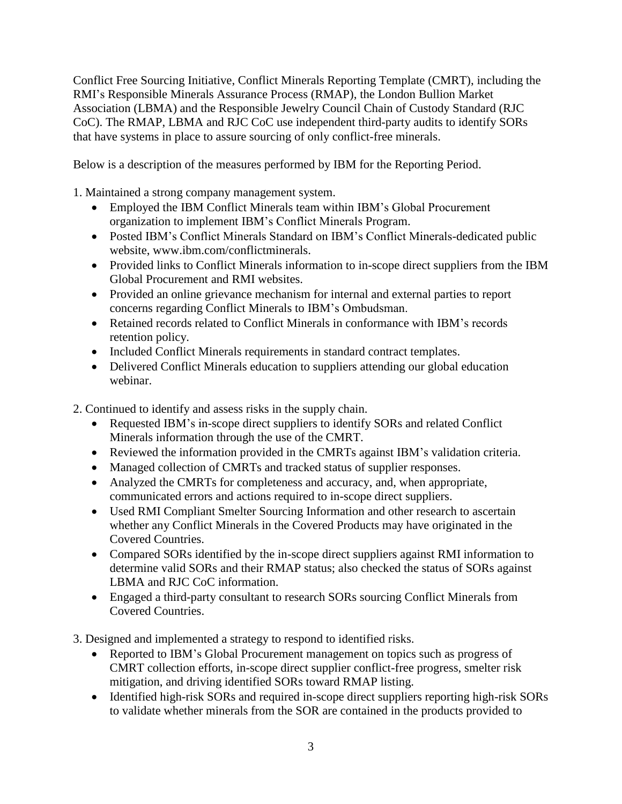Conflict Free Sourcing Initiative, Conflict Minerals Reporting Template (CMRT), including the RMI's Responsible Minerals Assurance Process (RMAP), the London Bullion Market Association (LBMA) and the Responsible Jewelry Council Chain of Custody Standard (RJC CoC). The RMAP, LBMA and RJC CoC use independent third-party audits to identify SORs that have systems in place to assure sourcing of only conflict-free minerals.

Below is a description of the measures performed by IBM for the Reporting Period.

1. Maintained a strong company management system.

- Employed the IBM Conflict Minerals team within IBM's Global Procurement organization to implement IBM's Conflict Minerals Program.
- Posted IBM's Conflict Minerals Standard on IBM's Conflict Minerals-dedicated public website, www.ibm.com/conflictminerals.
- Provided links to Conflict Minerals information to in-scope direct suppliers from the IBM Global Procurement and RMI websites.
- Provided an online grievance mechanism for internal and external parties to report concerns regarding Conflict Minerals to IBM's Ombudsman.
- Retained records related to Conflict Minerals in conformance with IBM's records retention policy.
- Included Conflict Minerals requirements in standard contract templates.
- Delivered Conflict Minerals education to suppliers attending our global education webinar.
- 2. Continued to identify and assess risks in the supply chain.
	- Requested IBM's in-scope direct suppliers to identify SORs and related Conflict Minerals information through the use of the CMRT.
	- Reviewed the information provided in the CMRTs against IBM's validation criteria.
	- Managed collection of CMRTs and tracked status of supplier responses.
	- Analyzed the CMRTs for completeness and accuracy, and, when appropriate, communicated errors and actions required to in-scope direct suppliers.
	- Used RMI Compliant Smelter Sourcing Information and other research to ascertain whether any Conflict Minerals in the Covered Products may have originated in the Covered Countries.
	- Compared SORs identified by the in-scope direct suppliers against RMI information to determine valid SORs and their RMAP status; also checked the status of SORs against LBMA and RJC CoC information.
	- Engaged a third-party consultant to research SORs sourcing Conflict Minerals from Covered Countries.
- 3. Designed and implemented a strategy to respond to identified risks.
	- Reported to IBM's Global Procurement management on topics such as progress of CMRT collection efforts, in-scope direct supplier conflict-free progress, smelter risk mitigation, and driving identified SORs toward RMAP listing.
	- Identified high-risk SORs and required in-scope direct suppliers reporting high-risk SORs to validate whether minerals from the SOR are contained in the products provided to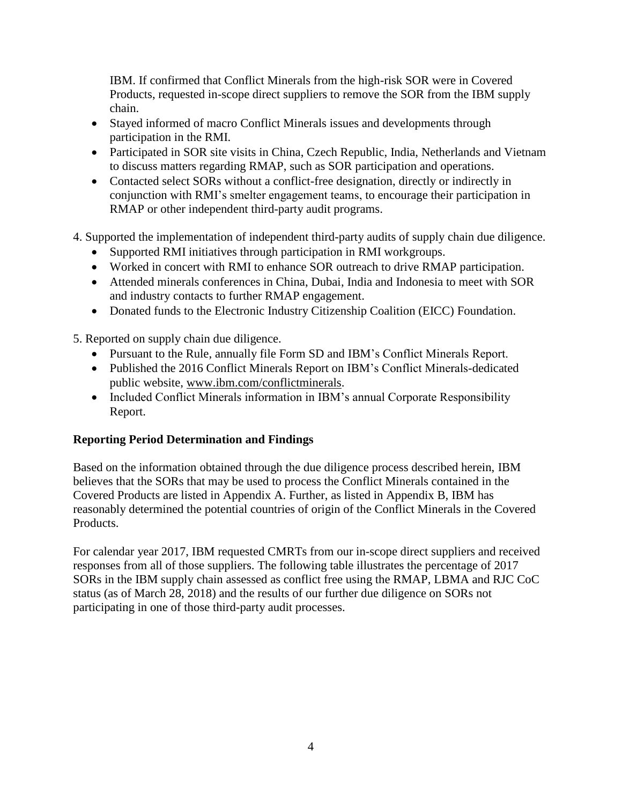IBM. If confirmed that Conflict Minerals from the high-risk SOR were in Covered Products, requested in-scope direct suppliers to remove the SOR from the IBM supply chain.

- Stayed informed of macro Conflict Minerals issues and developments through participation in the RMI.
- Participated in SOR site visits in China, Czech Republic, India, Netherlands and Vietnam to discuss matters regarding RMAP, such as SOR participation and operations.
- Contacted select SORs without a conflict-free designation, directly or indirectly in conjunction with RMI's smelter engagement teams, to encourage their participation in RMAP or other independent third-party audit programs.
- 4. Supported the implementation of independent third-party audits of supply chain due diligence.
	- Supported RMI initiatives through participation in RMI workgroups.
	- Worked in concert with RMI to enhance SOR outreach to drive RMAP participation.
	- Attended minerals conferences in China, Dubai, India and Indonesia to meet with SOR and industry contacts to further RMAP engagement.
	- Donated funds to the Electronic Industry Citizenship Coalition (EICC) Foundation.

5. Reported on supply chain due diligence.

- Pursuant to the Rule, annually file Form SD and IBM's Conflict Minerals Report.
- Published the 2016 Conflict Minerals Report on IBM's Conflict Minerals-dedicated public website, [www.ibm.com/conflictminerals.](http://www.ibm.com/conflictminerals)
- Included Conflict Minerals information in IBM's annual Corporate Responsibility Report.

## **Reporting Period Determination and Findings**

Based on the information obtained through the due diligence process described herein, IBM believes that the SORs that may be used to process the Conflict Minerals contained in the Covered Products are listed in Appendix A. Further, as listed in Appendix B, IBM has reasonably determined the potential countries of origin of the Conflict Minerals in the Covered Products.

For calendar year 2017, IBM requested CMRTs from our in-scope direct suppliers and received responses from all of those suppliers. The following table illustrates the percentage of 2017 SORs in the IBM supply chain assessed as conflict free using the RMAP, LBMA and RJC CoC status (as of March 28, 2018) and the results of our further due diligence on SORs not participating in one of those third-party audit processes.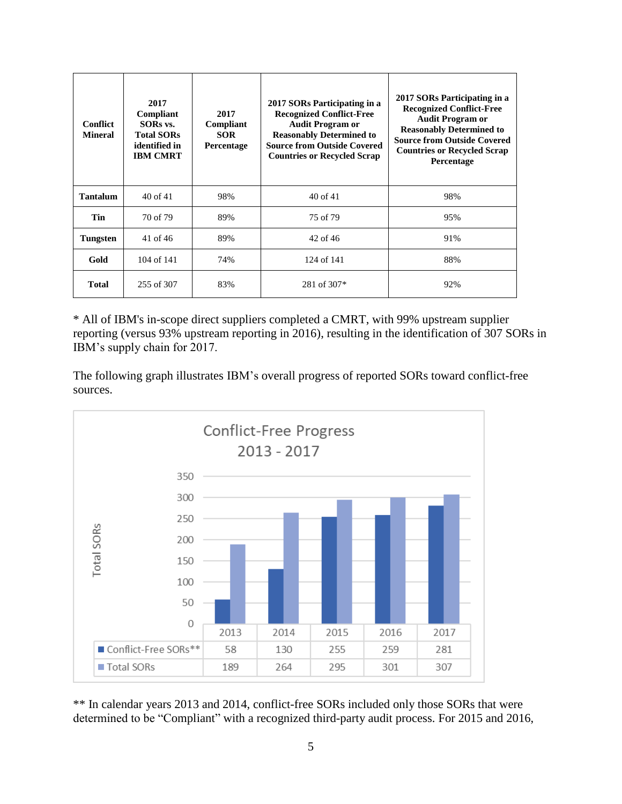| <b>Conflict</b><br><b>Mineral</b> | 2017<br>Compliant<br>SORs vs.<br><b>Total SORs</b><br>identified in<br><b>IBM CMRT</b> | 2017<br>Compliant<br><b>SOR</b><br>Percentage | 2017 SORs Participating in a<br><b>Recognized Conflict-Free</b><br><b>Audit Program or</b><br><b>Reasonably Determined to</b><br><b>Source from Outside Covered</b><br><b>Countries or Recycled Scrap</b> | 2017 SORs Participating in a<br><b>Recognized Conflict-Free</b><br><b>Audit Program or</b><br><b>Reasonably Determined to</b><br><b>Source from Outside Covered</b><br><b>Countries or Recycled Scrap</b><br>Percentage |
|-----------------------------------|----------------------------------------------------------------------------------------|-----------------------------------------------|-----------------------------------------------------------------------------------------------------------------------------------------------------------------------------------------------------------|-------------------------------------------------------------------------------------------------------------------------------------------------------------------------------------------------------------------------|
| <b>Tantalum</b>                   | $40$ of $41$                                                                           | 98%                                           | $40$ of $41$                                                                                                                                                                                              | 98%                                                                                                                                                                                                                     |
| <b>Tin</b>                        | 70 of 79                                                                               | 89%                                           | 75 of 79                                                                                                                                                                                                  | 95%                                                                                                                                                                                                                     |
| <b>Tungsten</b>                   | $41$ of $46$                                                                           | 89%                                           | 42 of 46                                                                                                                                                                                                  | 91%                                                                                                                                                                                                                     |
| Gold                              | $104$ of $141$                                                                         | 74%                                           | 124 of 141                                                                                                                                                                                                | 88%                                                                                                                                                                                                                     |
| <b>Total</b>                      | 255 of 307                                                                             | 83%                                           | 281 of 307*                                                                                                                                                                                               | 92%                                                                                                                                                                                                                     |

\* All of IBM's in-scope direct suppliers completed a CMRT, with 99% upstream supplier reporting (versus 93% upstream reporting in 2016), resulting in the identification of 307 SORs in IBM's supply chain for 2017.

The following graph illustrates IBM's overall progress of reported SORs toward conflict-free sources.



\*\* In calendar years 2013 and 2014, conflict-free SORs included only those SORs that were determined to be "Compliant" with a recognized third-party audit process. For 2015 and 2016,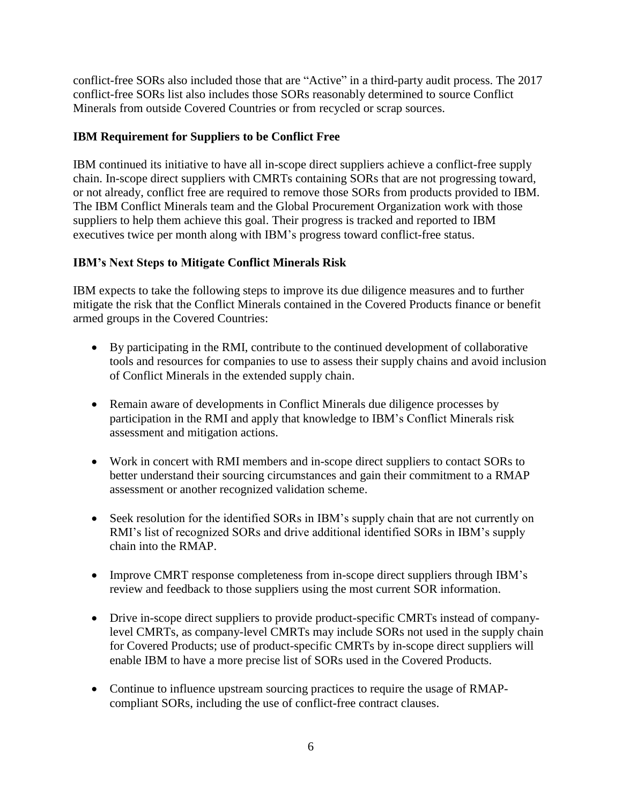conflict-free SORs also included those that are "Active" in a third-party audit process. The 2017 conflict-free SORs list also includes those SORs reasonably determined to source Conflict Minerals from outside Covered Countries or from recycled or scrap sources.

# **IBM Requirement for Suppliers to be Conflict Free**

IBM continued its initiative to have all in-scope direct suppliers achieve a conflict-free supply chain. In-scope direct suppliers with CMRTs containing SORs that are not progressing toward, or not already, conflict free are required to remove those SORs from products provided to IBM. The IBM Conflict Minerals team and the Global Procurement Organization work with those suppliers to help them achieve this goal. Their progress is tracked and reported to IBM executives twice per month along with IBM's progress toward conflict-free status.

# **IBM's Next Steps to Mitigate Conflict Minerals Risk**

IBM expects to take the following steps to improve its due diligence measures and to further mitigate the risk that the Conflict Minerals contained in the Covered Products finance or benefit armed groups in the Covered Countries:

- By participating in the RMI, contribute to the continued development of collaborative tools and resources for companies to use to assess their supply chains and avoid inclusion of Conflict Minerals in the extended supply chain.
- Remain aware of developments in Conflict Minerals due diligence processes by participation in the RMI and apply that knowledge to IBM's Conflict Minerals risk assessment and mitigation actions.
- Work in concert with RMI members and in-scope direct suppliers to contact SORs to better understand their sourcing circumstances and gain their commitment to a RMAP assessment or another recognized validation scheme.
- Seek resolution for the identified SORs in IBM's supply chain that are not currently on RMI's list of recognized SORs and drive additional identified SORs in IBM's supply chain into the RMAP.
- Improve CMRT response completeness from in-scope direct suppliers through IBM's review and feedback to those suppliers using the most current SOR information.
- Drive in-scope direct suppliers to provide product-specific CMRTs instead of companylevel CMRTs, as company-level CMRTs may include SORs not used in the supply chain for Covered Products; use of product-specific CMRTs by in-scope direct suppliers will enable IBM to have a more precise list of SORs used in the Covered Products.
- Continue to influence upstream sourcing practices to require the usage of RMAPcompliant SORs, including the use of conflict-free contract clauses.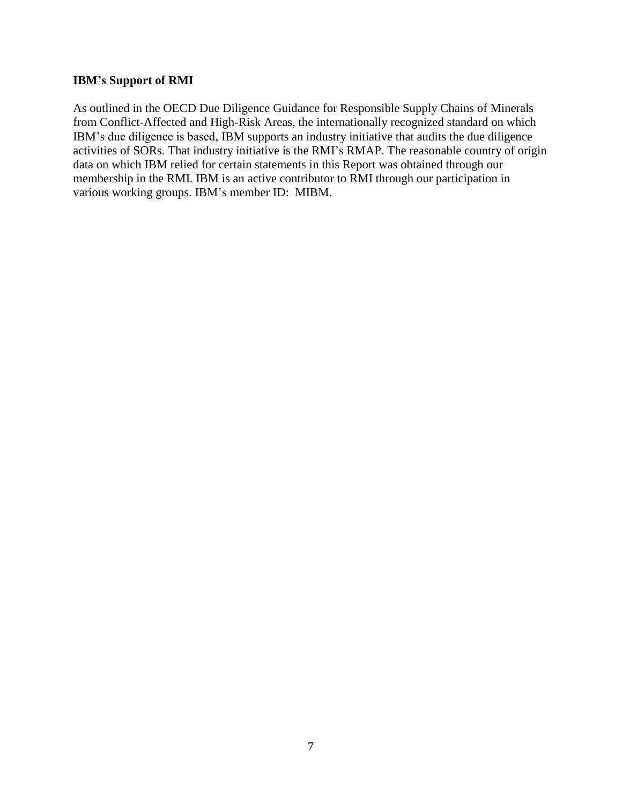#### **IBM's Support of RMI**

As outlined in the OECD Due Diligence Guidance for Responsible Supply Chains of Minerals from Conflict-Affected and High-Risk Areas, the internationally recognized standard on which IBM's due diligence is based, IBM supports an industry initiative that audits the due diligence activities of SORs. That industry initiative is the RMI's RMAP. The reasonable country of origin data on which IBM relied for certain statements in this Report was obtained through our membership in the RMI. IBM is an active contributor to RMI through our participation in various working groups. IBM's member ID: MIBM.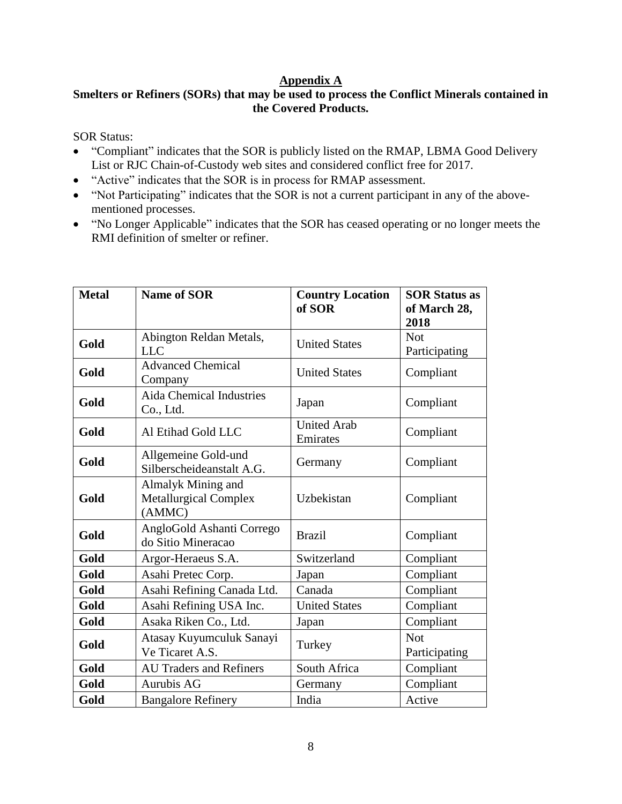### **Appendix A**

# **Smelters or Refiners (SORs) that may be used to process the Conflict Minerals contained in the Covered Products.**

SOR Status:

- "Compliant" indicates that the SOR is publicly listed on the RMAP, LBMA Good Delivery List or RJC Chain-of-Custody web sites and considered conflict free for 2017.
- "Active" indicates that the SOR is in process for RMAP assessment.
- "Not Participating" indicates that the SOR is not a current participant in any of the abovementioned processes.
- "No Longer Applicable" indicates that the SOR has ceased operating or no longer meets the RMI definition of smelter or refiner.

| <b>Metal</b> | <b>Name of SOR</b>                                           | <b>Country Location</b><br>of SOR | <b>SOR Status as</b><br>of March 28,<br>2018 |
|--------------|--------------------------------------------------------------|-----------------------------------|----------------------------------------------|
| Gold         | Abington Reldan Metals,<br><b>LLC</b>                        | <b>United States</b>              | <b>Not</b><br>Participating                  |
| Gold         | <b>Advanced Chemical</b><br>Company                          | <b>United States</b>              | Compliant                                    |
| Gold         | <b>Aida Chemical Industries</b><br>Co., Ltd.                 | Japan                             | Compliant                                    |
| Gold         | Al Etihad Gold LLC                                           | <b>United Arab</b><br>Emirates    | Compliant                                    |
| Gold         | Allgemeine Gold-und<br>Silberscheideanstalt A.G.             | Germany                           | Compliant                                    |
| Gold         | Almalyk Mining and<br><b>Metallurgical Complex</b><br>(AMMC) | Uzbekistan                        | Compliant                                    |
| Gold         | AngloGold Ashanti Corrego<br>do Sitio Mineracao              | <b>Brazil</b>                     | Compliant                                    |
| Gold         | Argor-Heraeus S.A.                                           | Switzerland                       | Compliant                                    |
| Gold         | Asahi Pretec Corp.                                           | Japan                             | Compliant                                    |
| Gold         | Asahi Refining Canada Ltd.                                   | Canada                            | Compliant                                    |
| Gold         | Asahi Refining USA Inc.                                      | <b>United States</b>              | Compliant                                    |
| Gold         | Asaka Riken Co., Ltd.                                        | Japan                             | Compliant                                    |
| Gold         | Atasay Kuyumculuk Sanayi<br>Ve Ticaret A.S.                  | Turkey                            | <b>Not</b><br>Participating                  |
| Gold         | <b>AU Traders and Refiners</b>                               | South Africa                      | Compliant                                    |
| Gold         | <b>Aurubis AG</b>                                            | Germany                           | Compliant                                    |
| Gold         | <b>Bangalore Refinery</b>                                    | India                             | Active                                       |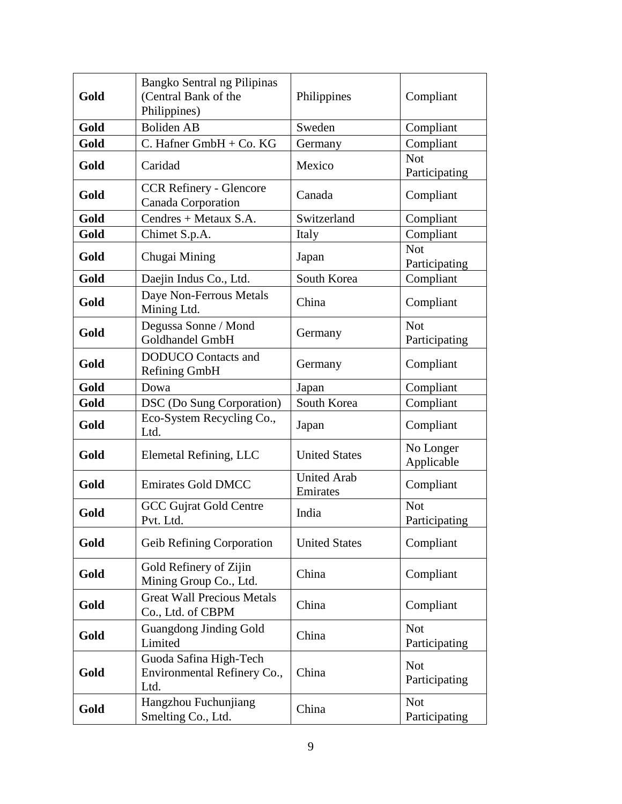| Gold | Bangko Sentral ng Pilipinas<br>(Central Bank of the<br>Philippines) | Philippines                    | Compliant                   |
|------|---------------------------------------------------------------------|--------------------------------|-----------------------------|
| Gold | <b>Boliden AB</b>                                                   | Sweden                         | Compliant                   |
| Gold | C. Hafner GmbH + Co. KG                                             | Germany                        | Compliant                   |
| Gold | Caridad                                                             | Mexico                         | <b>Not</b><br>Participating |
| Gold | <b>CCR Refinery - Glencore</b><br>Canada Corporation                | Canada                         | Compliant                   |
| Gold | Cendres + Metaux S.A.                                               | Switzerland                    | Compliant                   |
| Gold | Chimet S.p.A.                                                       | Italy                          | Compliant                   |
| Gold | Chugai Mining                                                       | Japan                          | <b>Not</b><br>Participating |
| Gold | Daejin Indus Co., Ltd.                                              | South Korea                    | Compliant                   |
| Gold | Daye Non-Ferrous Metals<br>Mining Ltd.                              | China                          | Compliant                   |
| Gold | Degussa Sonne / Mond<br><b>Goldhandel GmbH</b>                      | Germany                        | <b>Not</b><br>Participating |
| Gold | <b>DODUCO</b> Contacts and<br><b>Refining GmbH</b>                  | Germany                        | Compliant                   |
| Gold | Dowa                                                                | Japan                          | Compliant                   |
| Gold | DSC (Do Sung Corporation)                                           | South Korea                    | Compliant                   |
| Gold | Eco-System Recycling Co.,<br>Ltd.                                   | Japan                          | Compliant                   |
| Gold | Elemetal Refining, LLC                                              | <b>United States</b>           | No Longer<br>Applicable     |
| Gold | <b>Emirates Gold DMCC</b>                                           | <b>United Arab</b><br>Emirates | Compliant                   |
| Gold | <b>GCC Gujrat Gold Centre</b><br>Pvt. Ltd.                          | India                          | <b>Not</b><br>Participating |
| Gold | Geib Refining Corporation                                           | <b>United States</b>           | Compliant                   |
| Gold | Gold Refinery of Zijin<br>Mining Group Co., Ltd.                    | China                          | Compliant                   |
| Gold | <b>Great Wall Precious Metals</b><br>Co., Ltd. of CBPM              | China                          | Compliant                   |
| Gold | <b>Guangdong Jinding Gold</b><br>Limited                            | China                          | <b>Not</b><br>Participating |
| Gold | Guoda Safina High-Tech<br>Environmental Refinery Co.,<br>Ltd.       | China                          | <b>Not</b><br>Participating |
| Gold | Hangzhou Fuchunjiang<br>Smelting Co., Ltd.                          | China                          | <b>Not</b><br>Participating |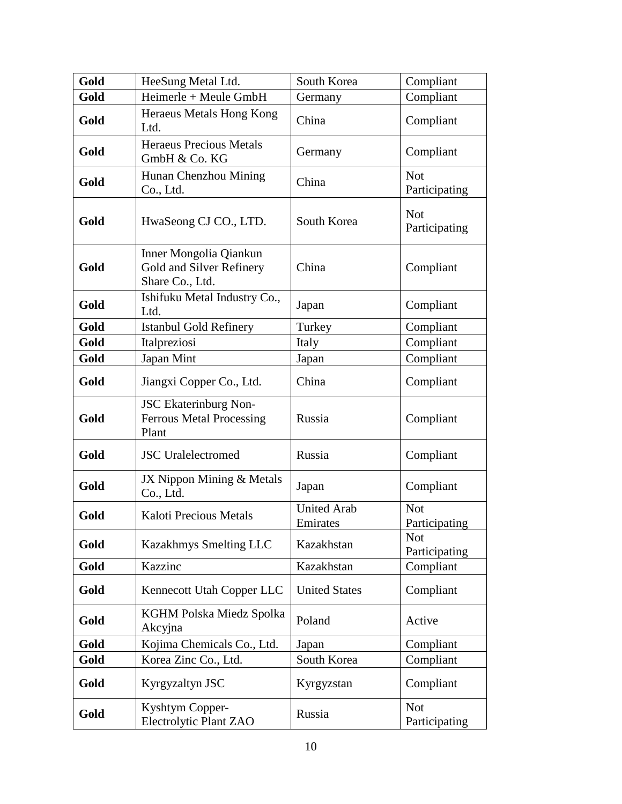| Gold | HeeSung Metal Ltd.                                                       | South Korea                    | Compliant                   |
|------|--------------------------------------------------------------------------|--------------------------------|-----------------------------|
| Gold | $Heimerle + Meule GmbH$                                                  | Germany                        | Compliant                   |
| Gold | Heraeus Metals Hong Kong<br>Ltd.                                         | China                          | Compliant                   |
| Gold | <b>Heraeus Precious Metals</b><br>GmbH & Co. KG                          | Germany                        | Compliant                   |
| Gold | Hunan Chenzhou Mining<br>Co., Ltd.                                       | China                          | <b>Not</b><br>Participating |
| Gold | HwaSeong CJ CO., LTD.                                                    | South Korea                    | <b>Not</b><br>Participating |
| Gold | Inner Mongolia Qiankun<br>Gold and Silver Refinery<br>Share Co., Ltd.    | China                          | Compliant                   |
| Gold | Ishifuku Metal Industry Co.,<br>Ltd.                                     | Japan                          | Compliant                   |
| Gold | <b>Istanbul Gold Refinery</b>                                            | Turkey                         | Compliant                   |
| Gold | Italpreziosi                                                             | Italy                          | Compliant                   |
| Gold | Japan Mint                                                               | Japan                          | Compliant                   |
| Gold | Jiangxi Copper Co., Ltd.                                                 | China                          | Compliant                   |
| Gold | <b>JSC Ekaterinburg Non-</b><br><b>Ferrous Metal Processing</b><br>Plant | Russia                         | Compliant                   |
| Gold | <b>JSC</b> Uralelectromed                                                | Russia                         | Compliant                   |
| Gold | JX Nippon Mining & Metals<br>Co., Ltd.                                   | Japan                          | Compliant                   |
| Gold | Kaloti Precious Metals                                                   | <b>United Arab</b><br>Emirates | <b>Not</b><br>Participating |
| Gold | Kazakhmys Smelting LLC                                                   | Kazakhstan                     | <b>Not</b><br>Participating |
| Gold | Kazzinc                                                                  | Kazakhstan                     | Compliant                   |
| Gold | Kennecott Utah Copper LLC                                                | <b>United States</b>           | Compliant                   |
| Gold | KGHM Polska Miedz Spolka<br>Akcyjna                                      | Poland                         | Active                      |
| Gold | Kojima Chemicals Co., Ltd.                                               | Japan                          | Compliant                   |
| Gold | Korea Zinc Co., Ltd.                                                     | South Korea                    | Compliant                   |
| Gold | Kyrgyzaltyn JSC                                                          | Kyrgyzstan                     | Compliant                   |
| Gold | Kyshtym Copper-<br>Electrolytic Plant ZAO                                | Russia                         | <b>Not</b><br>Participating |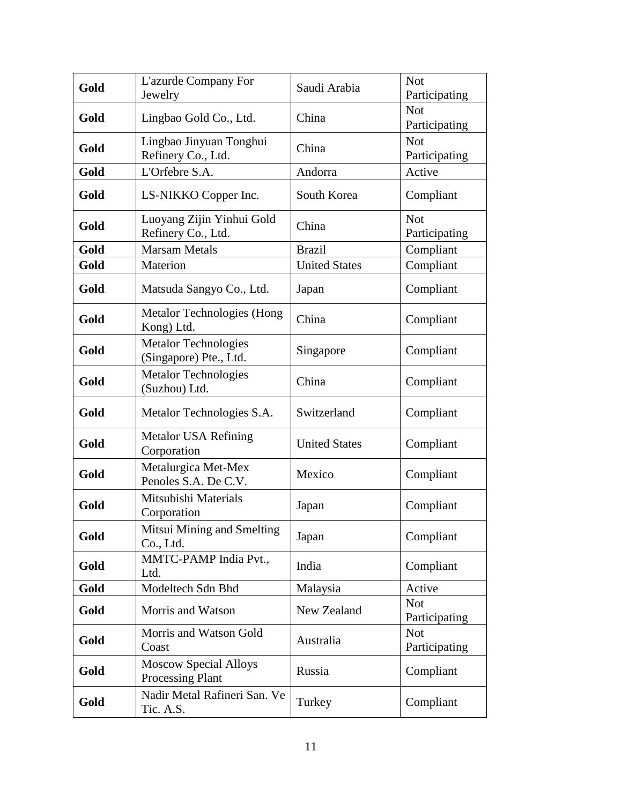| Gold | L'azurde Company For<br>Jewelry                         | Saudi Arabia         | <b>Not</b><br>Participating |
|------|---------------------------------------------------------|----------------------|-----------------------------|
| Gold | Lingbao Gold Co., Ltd.                                  | China                | <b>Not</b><br>Participating |
| Gold | Lingbao Jinyuan Tonghui<br>Refinery Co., Ltd.           | China                | <b>Not</b><br>Participating |
| Gold | L'Orfebre S.A.                                          | Andorra              | Active                      |
| Gold | LS-NIKKO Copper Inc.                                    | South Korea          | Compliant                   |
| Gold | Luoyang Zijin Yinhui Gold<br>Refinery Co., Ltd.         | China                | <b>Not</b><br>Participating |
| Gold | <b>Marsam Metals</b>                                    | <b>Brazil</b>        | Compliant                   |
| Gold | Materion                                                | <b>United States</b> | Compliant                   |
| Gold | Matsuda Sangyo Co., Ltd.                                | Japan                | Compliant                   |
| Gold | Metalor Technologies (Hong<br>Kong) Ltd.                | China                | Compliant                   |
| Gold | <b>Metalor Technologies</b><br>(Singapore) Pte., Ltd.   | Singapore            | Compliant                   |
| Gold | <b>Metalor Technologies</b><br>(Suzhou) Ltd.            | China                | Compliant                   |
| Gold | Metalor Technologies S.A.                               | Switzerland          | Compliant                   |
| Gold | <b>Metalor USA Refining</b><br>Corporation              | <b>United States</b> | Compliant                   |
| Gold | Metalurgica Met-Mex<br>Penoles S.A. De C.V.             | Mexico               | Compliant                   |
| Gold | Mitsubishi Materials<br>Corporation                     | Japan                | Compliant                   |
| Gold | Mitsui Mining and Smelting<br>Co., Ltd.                 | Japan                | Compliant                   |
| Gold | MMTC-PAMP India Pvt.,<br>Ltd.                           | India                | Compliant                   |
| Gold | Modeltech Sdn Bhd                                       | Malaysia             | Active                      |
| Gold | Morris and Watson                                       | New Zealand          | <b>Not</b><br>Participating |
| Gold | Morris and Watson Gold<br>Coast                         | Australia            | <b>Not</b><br>Participating |
| Gold | <b>Moscow Special Alloys</b><br><b>Processing Plant</b> | Russia               | Compliant                   |
| Gold | Nadir Metal Rafineri San. Ve<br>Tic. A.S.               | Turkey               | Compliant                   |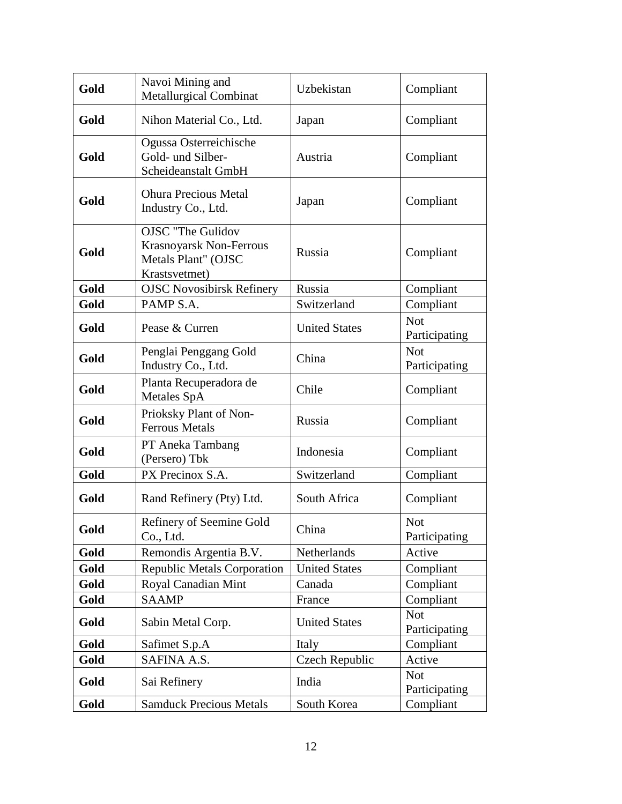| Gold | Navoi Mining and<br><b>Metallurgical Combinat</b>                                           | Uzbekistan           | Compliant                   |
|------|---------------------------------------------------------------------------------------------|----------------------|-----------------------------|
| Gold | Nihon Material Co., Ltd.                                                                    | Japan                | Compliant                   |
| Gold | Ogussa Osterreichische<br>Gold- und Silber-<br>Scheideanstalt GmbH                          | Austria              | Compliant                   |
| Gold | <b>Ohura Precious Metal</b><br>Industry Co., Ltd.                                           | Japan                | Compliant                   |
| Gold | <b>OJSC</b> "The Gulidov<br>Krasnoyarsk Non-Ferrous<br>Metals Plant" (OJSC<br>Krastsvetmet) | Russia               | Compliant                   |
| Gold | <b>OJSC Novosibirsk Refinery</b>                                                            | Russia               | Compliant                   |
| Gold | PAMP S.A.                                                                                   | Switzerland          | Compliant                   |
| Gold | Pease & Curren                                                                              | <b>United States</b> | <b>Not</b><br>Participating |
| Gold | Penglai Penggang Gold<br>Industry Co., Ltd.                                                 | China                | <b>Not</b><br>Participating |
| Gold | Planta Recuperadora de<br><b>Metales SpA</b>                                                | Chile                | Compliant                   |
| Gold | Prioksky Plant of Non-<br><b>Ferrous Metals</b>                                             | Russia               | Compliant                   |
| Gold | PT Aneka Tambang<br>(Persero) Tbk                                                           | Indonesia            | Compliant                   |
| Gold | PX Precinox S.A.                                                                            | Switzerland          | Compliant                   |
| Gold | Rand Refinery (Pty) Ltd.                                                                    | South Africa         | Compliant                   |
| Gold | Refinery of Seemine Gold<br>Co., Ltd.                                                       | China                | <b>Not</b><br>Participating |
| Gold | Remondis Argentia B.V.                                                                      | Netherlands          | Active                      |
| Gold | <b>Republic Metals Corporation</b>                                                          | <b>United States</b> | Compliant                   |
| Gold | Royal Canadian Mint                                                                         | Canada               | Compliant                   |
| Gold | <b>SAAMP</b>                                                                                | France               | Compliant                   |
| Gold | Sabin Metal Corp.                                                                           | <b>United States</b> | <b>Not</b><br>Participating |
| Gold | Safimet S.p.A                                                                               | Italy                | Compliant                   |
| Gold | SAFINA A.S.                                                                                 | Czech Republic       | Active                      |
| Gold | Sai Refinery                                                                                | India                | <b>Not</b><br>Participating |
| Gold | <b>Samduck Precious Metals</b>                                                              | South Korea          | Compliant                   |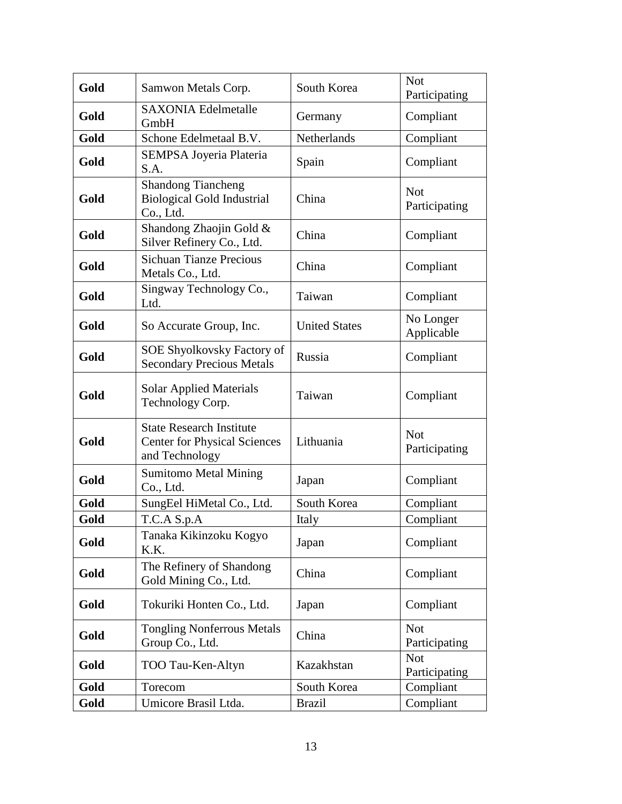| Gold | Samwon Metals Corp.                                                                      | South Korea          | <b>Not</b><br>Participating |
|------|------------------------------------------------------------------------------------------|----------------------|-----------------------------|
| Gold | <b>SAXONIA Edelmetalle</b><br>GmbH                                                       | Germany              | Compliant                   |
| Gold | Schone Edelmetaal B.V.                                                                   | Netherlands          | Compliant                   |
| Gold | SEMPSA Joyeria Plateria<br>S.A.                                                          | Spain                | Compliant                   |
| Gold | <b>Shandong Tiancheng</b><br><b>Biological Gold Industrial</b><br>Co., Ltd.              | China                | <b>Not</b><br>Participating |
| Gold | Shandong Zhaojin Gold &<br>Silver Refinery Co., Ltd.                                     | China                | Compliant                   |
| Gold | <b>Sichuan Tianze Precious</b><br>Metals Co., Ltd.                                       | China                | Compliant                   |
| Gold | Singway Technology Co.,<br>Ltd.                                                          | Taiwan               | Compliant                   |
| Gold | So Accurate Group, Inc.                                                                  | <b>United States</b> | No Longer<br>Applicable     |
| Gold | SOE Shyolkovsky Factory of<br><b>Secondary Precious Metals</b>                           | Russia               | Compliant                   |
| Gold | <b>Solar Applied Materials</b><br>Technology Corp.                                       | Taiwan               | Compliant                   |
| Gold | <b>State Research Institute</b><br><b>Center for Physical Sciences</b><br>and Technology | Lithuania            | <b>Not</b><br>Participating |
| Gold | <b>Sumitomo Metal Mining</b><br>Co., Ltd.                                                | Japan                | Compliant                   |
| Gold | SungEel HiMetal Co., Ltd.                                                                | South Korea          | Compliant                   |
| Gold | T.C.A S.p.A                                                                              | Italy                | Compliant                   |
| Gold | Tanaka Kikinzoku Kogyo<br>K.K.                                                           | Japan                | Compliant                   |
| Gold | The Refinery of Shandong<br>Gold Mining Co., Ltd.                                        | China                | Compliant                   |
| Gold | Tokuriki Honten Co., Ltd.                                                                | Japan                | Compliant                   |
| Gold | <b>Tongling Nonferrous Metals</b><br>Group Co., Ltd.                                     | China                | <b>Not</b><br>Participating |
| Gold | TOO Tau-Ken-Altyn                                                                        | Kazakhstan           | <b>Not</b><br>Participating |
| Gold | Torecom                                                                                  | South Korea          | Compliant                   |
| Gold | Umicore Brasil Ltda.                                                                     | <b>Brazil</b>        | Compliant                   |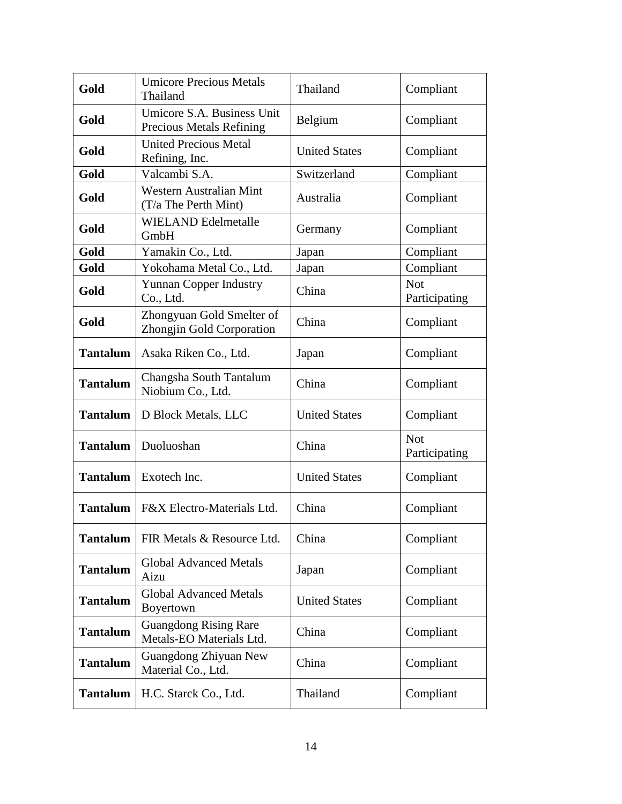| Gold            | <b>Umicore Precious Metals</b><br>Thailand                    | Thailand             | Compliant                   |
|-----------------|---------------------------------------------------------------|----------------------|-----------------------------|
| Gold            | Umicore S.A. Business Unit<br><b>Precious Metals Refining</b> | Belgium              | Compliant                   |
| Gold            | <b>United Precious Metal</b><br>Refining, Inc.                | <b>United States</b> | Compliant                   |
| Gold            | Valcambi S.A.                                                 | Switzerland          | Compliant                   |
| Gold            | <b>Western Australian Mint</b><br>(T/a The Perth Mint)        | Australia            | Compliant                   |
| Gold            | <b>WIELAND Edelmetalle</b><br>GmbH                            | Germany              | Compliant                   |
| Gold            | Yamakin Co., Ltd.                                             | Japan                | Compliant                   |
| Gold            | Yokohama Metal Co., Ltd.                                      | Japan                | Compliant                   |
| Gold            | <b>Yunnan Copper Industry</b><br>Co., Ltd.                    | China                | <b>Not</b><br>Participating |
| Gold            | Zhongyuan Gold Smelter of<br>Zhongjin Gold Corporation        | China                | Compliant                   |
| <b>Tantalum</b> | Asaka Riken Co., Ltd.                                         | Japan                | Compliant                   |
| <b>Tantalum</b> | Changsha South Tantalum<br>Niobium Co., Ltd.                  | China                | Compliant                   |
| <b>Tantalum</b> | D Block Metals, LLC                                           | <b>United States</b> | Compliant                   |
| <b>Tantalum</b> | Duoluoshan                                                    | China                | <b>Not</b><br>Participating |
| <b>Tantalum</b> | Exotech Inc.                                                  | <b>United States</b> | Compliant                   |
| <b>Tantalum</b> | F&X Electro-Materials Ltd.                                    | China                | Compliant                   |
| <b>Tantalum</b> | FIR Metals & Resource Ltd.                                    | China                | Compliant                   |
| <b>Tantalum</b> | <b>Global Advanced Metals</b><br>Aizu                         | Japan                | Compliant                   |
| <b>Tantalum</b> | <b>Global Advanced Metals</b><br>Boyertown                    | <b>United States</b> | Compliant                   |
| <b>Tantalum</b> | <b>Guangdong Rising Rare</b><br>Metals-EO Materials Ltd.      | China                | Compliant                   |
| <b>Tantalum</b> | Guangdong Zhiyuan New<br>Material Co., Ltd.                   | China                | Compliant                   |
| <b>Tantalum</b> | H.C. Starck Co., Ltd.                                         | Thailand             | Compliant                   |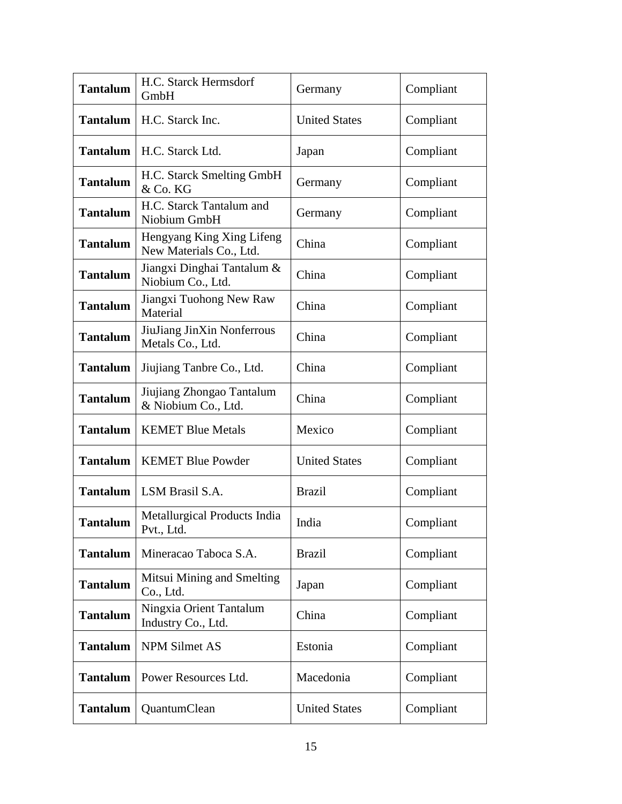| <b>Tantalum</b> | H.C. Starck Hermsdorf<br>GmbH                        | Germany              | Compliant |
|-----------------|------------------------------------------------------|----------------------|-----------|
| <b>Tantalum</b> | H.C. Starck Inc.                                     | <b>United States</b> | Compliant |
| <b>Tantalum</b> | H.C. Starck Ltd.                                     | Japan                | Compliant |
| <b>Tantalum</b> | H.C. Starck Smelting GmbH<br>& Co. KG                | Germany              | Compliant |
| <b>Tantalum</b> | H.C. Starck Tantalum and<br>Niobium GmbH             | Germany              | Compliant |
| <b>Tantalum</b> | Hengyang King Xing Lifeng<br>New Materials Co., Ltd. | China                | Compliant |
| <b>Tantalum</b> | Jiangxi Dinghai Tantalum &<br>Niobium Co., Ltd.      | China                | Compliant |
| <b>Tantalum</b> | Jiangxi Tuohong New Raw<br>Material                  | China                | Compliant |
| <b>Tantalum</b> | JiuJiang JinXin Nonferrous<br>Metals Co., Ltd.       | China                | Compliant |
| <b>Tantalum</b> | Jiujiang Tanbre Co., Ltd.                            | China                | Compliant |
| <b>Tantalum</b> | Jiujiang Zhongao Tantalum<br>& Niobium Co., Ltd.     | China                | Compliant |
| <b>Tantalum</b> | <b>KEMET Blue Metals</b>                             | Mexico               | Compliant |
| <b>Tantalum</b> | <b>KEMET Blue Powder</b>                             | <b>United States</b> | Compliant |
| <b>Tantalum</b> | LSM Brasil S.A.                                      | <b>Brazil</b>        | Compliant |
| <b>Tantalum</b> | Metallurgical Products India<br>Pvt., Ltd.           | India                | Compliant |
| <b>Tantalum</b> | Mineracao Taboca S.A.                                | <b>Brazil</b>        | Compliant |
| <b>Tantalum</b> | Mitsui Mining and Smelting<br>Co., Ltd.              | Japan                | Compliant |
| <b>Tantalum</b> | Ningxia Orient Tantalum<br>Industry Co., Ltd.        | China                | Compliant |
| <b>Tantalum</b> | NPM Silmet AS                                        | Estonia              | Compliant |
| <b>Tantalum</b> | Power Resources Ltd.                                 | Macedonia            | Compliant |
| <b>Tantalum</b> | QuantumClean                                         | <b>United States</b> | Compliant |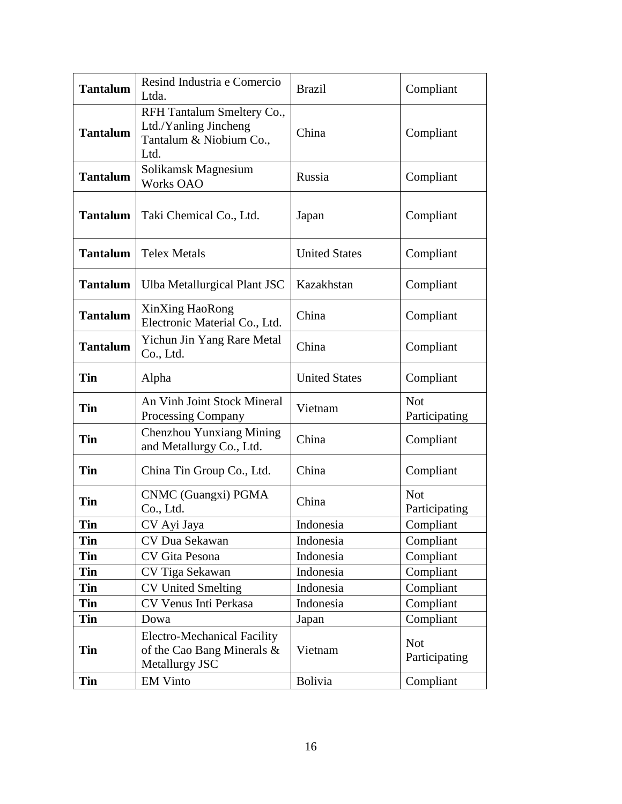| <b>Tantalum</b> | Resind Industria e Comercio<br>Ltda.                                                   | <b>Brazil</b>        | Compliant                   |
|-----------------|----------------------------------------------------------------------------------------|----------------------|-----------------------------|
| <b>Tantalum</b> | RFH Tantalum Smeltery Co.,<br>Ltd./Yanling Jincheng<br>Tantalum & Niobium Co.,<br>Ltd. | China                | Compliant                   |
| <b>Tantalum</b> | Solikamsk Magnesium<br><b>Works OAO</b>                                                | Russia               | Compliant                   |
| <b>Tantalum</b> | Taki Chemical Co., Ltd.                                                                | Japan                | Compliant                   |
| <b>Tantalum</b> | <b>Telex Metals</b>                                                                    | <b>United States</b> | Compliant                   |
| <b>Tantalum</b> | Ulba Metallurgical Plant JSC                                                           | Kazakhstan           | Compliant                   |
| <b>Tantalum</b> | XinXing HaoRong<br>Electronic Material Co., Ltd.                                       | China                | Compliant                   |
| <b>Tantalum</b> | Yichun Jin Yang Rare Metal<br>Co., Ltd.                                                | China                | Compliant                   |
| Tin             | Alpha                                                                                  | <b>United States</b> | Compliant                   |
| Tin             | An Vinh Joint Stock Mineral<br><b>Processing Company</b>                               | Vietnam              | <b>Not</b><br>Participating |
| Tin             | Chenzhou Yunxiang Mining<br>and Metallurgy Co., Ltd.                                   | China                | Compliant                   |
| Tin             | China Tin Group Co., Ltd.                                                              | China                | Compliant                   |
| <b>Tin</b>      | CNMC (Guangxi) PGMA<br>Co., Ltd.                                                       | China                | <b>Not</b><br>Participating |
| Tin             | CV Ayi Jaya                                                                            | Indonesia            | Compliant                   |
| Tin             | CV Dua Sekawan                                                                         | Indonesia            | Compliant                   |
| Tin             | CV Gita Pesona                                                                         | Indonesia            | Compliant                   |
| Tin             | CV Tiga Sekawan                                                                        | Indonesia            | Compliant                   |
| Tin             | <b>CV United Smelting</b>                                                              | Indonesia            | Compliant                   |
| Tin             | CV Venus Inti Perkasa                                                                  | Indonesia            | Compliant                   |
| Tin             | Dowa                                                                                   | Japan                | Compliant                   |
| Tin             | <b>Electro-Mechanical Facility</b><br>of the Cao Bang Minerals &<br>Metallurgy JSC     | Vietnam              | <b>Not</b><br>Participating |
| Tin             | <b>EM Vinto</b>                                                                        | Bolivia              | Compliant                   |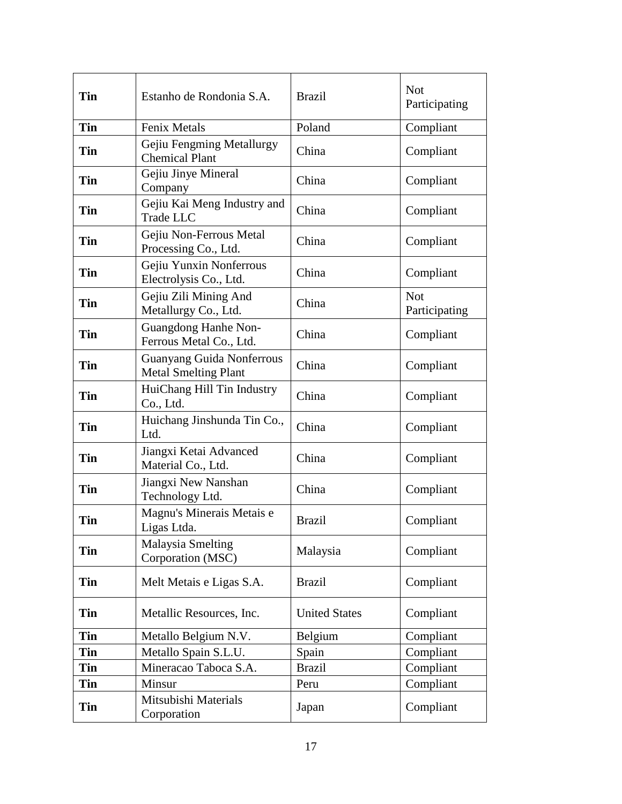| Tin        | Estanho de Rondonia S.A.                                        | <b>Brazil</b>        | <b>Not</b><br>Participating |
|------------|-----------------------------------------------------------------|----------------------|-----------------------------|
| <b>Tin</b> | Fenix Metals                                                    | Poland               | Compliant                   |
| <b>Tin</b> | Gejiu Fengming Metallurgy<br><b>Chemical Plant</b>              | China                | Compliant                   |
| <b>Tin</b> | Gejiu Jinye Mineral<br>Company                                  | China                | Compliant                   |
| <b>Tin</b> | Gejiu Kai Meng Industry and<br>Trade LLC                        | China                | Compliant                   |
| <b>Tin</b> | Gejiu Non-Ferrous Metal<br>Processing Co., Ltd.                 | China                | Compliant                   |
| <b>Tin</b> | Gejiu Yunxin Nonferrous<br>Electrolysis Co., Ltd.               | China                | Compliant                   |
| Tin        | Gejiu Zili Mining And<br>Metallurgy Co., Ltd.                   | China                | <b>Not</b><br>Participating |
| <b>Tin</b> | <b>Guangdong Hanhe Non-</b><br>Ferrous Metal Co., Ltd.          | China                | Compliant                   |
| Tin        | <b>Guanyang Guida Nonferrous</b><br><b>Metal Smelting Plant</b> | China                | Compliant                   |
| <b>Tin</b> | HuiChang Hill Tin Industry<br>Co., Ltd.                         | China                | Compliant                   |
| <b>Tin</b> | Huichang Jinshunda Tin Co.,<br>Ltd.                             | China                | Compliant                   |
| Tin        | Jiangxi Ketai Advanced<br>Material Co., Ltd.                    | China                | Compliant                   |
| <b>Tin</b> | Jiangxi New Nanshan<br>Technology Ltd.                          | China                | Compliant                   |
| Tin        | Magnu's Minerais Metais e<br>Ligas Ltda.                        | <b>Brazil</b>        | Compliant                   |
| Tin        | <b>Malaysia Smelting</b><br>Corporation (MSC)                   | Malaysia             | Compliant                   |
| <b>Tin</b> | Melt Metais e Ligas S.A.                                        | <b>Brazil</b>        | Compliant                   |
| <b>Tin</b> | Metallic Resources, Inc.                                        | <b>United States</b> | Compliant                   |
| Tin        | Metallo Belgium N.V.                                            | Belgium              | Compliant                   |
| <b>Tin</b> | Metallo Spain S.L.U.                                            | Spain                | Compliant                   |
| <b>Tin</b> | Mineracao Taboca S.A.                                           | <b>Brazil</b>        | Compliant                   |
| Tin        | Minsur                                                          | Peru                 | Compliant                   |
| Tin        | Mitsubishi Materials<br>Corporation                             | Japan                | Compliant                   |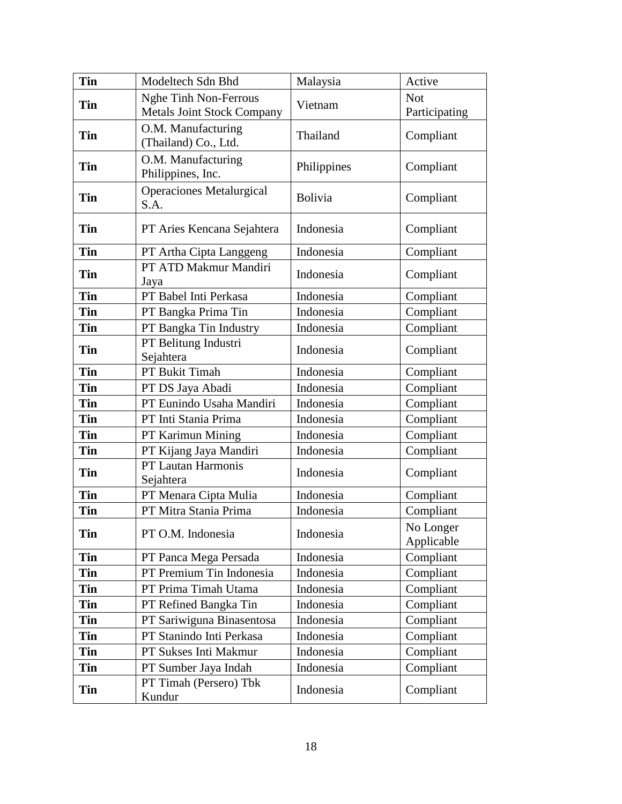| <b>Tin</b> | Modeltech Sdn Bhd                                          | Malaysia       | Active                      |
|------------|------------------------------------------------------------|----------------|-----------------------------|
| Tin        | Nghe Tinh Non-Ferrous<br><b>Metals Joint Stock Company</b> | Vietnam        | <b>Not</b><br>Participating |
| <b>Tin</b> | O.M. Manufacturing<br>(Thailand) Co., Ltd.                 | Thailand       | Compliant                   |
| <b>Tin</b> | O.M. Manufacturing<br>Philippines, Inc.                    | Philippines    | Compliant                   |
| <b>Tin</b> | <b>Operaciones Metalurgical</b><br>S.A.                    | <b>Bolivia</b> | Compliant                   |
| <b>Tin</b> | PT Aries Kencana Sejahtera                                 | Indonesia      | Compliant                   |
| Tin        | PT Artha Cipta Langgeng                                    | Indonesia      | Compliant                   |
| <b>Tin</b> | PT ATD Makmur Mandiri<br>Jaya                              | Indonesia      | Compliant                   |
| <b>Tin</b> | PT Babel Inti Perkasa                                      | Indonesia      | Compliant                   |
| Tin        | PT Bangka Prima Tin                                        | Indonesia      | Compliant                   |
| Tin        | PT Bangka Tin Industry                                     | Indonesia      | Compliant                   |
| <b>Tin</b> | PT Belitung Industri<br>Sejahtera                          | Indonesia      | Compliant                   |
| <b>Tin</b> | PT Bukit Timah                                             | Indonesia      | Compliant                   |
| <b>Tin</b> | PT DS Jaya Abadi                                           | Indonesia      | Compliant                   |
| <b>Tin</b> | PT Eunindo Usaha Mandiri                                   | Indonesia      | Compliant                   |
| <b>Tin</b> | PT Inti Stania Prima                                       | Indonesia      | Compliant                   |
| <b>Tin</b> | PT Karimun Mining                                          | Indonesia      | Compliant                   |
| <b>Tin</b> | PT Kijang Jaya Mandiri                                     | Indonesia      | Compliant                   |
| Tin        | PT Lautan Harmonis<br>Sejahtera                            | Indonesia      | Compliant                   |
| <b>Tin</b> | PT Menara Cipta Mulia                                      | Indonesia      | Compliant                   |
| Tin        | PT Mitra Stania Prima                                      | Indonesia      | Compliant                   |
| Tin        | PT O.M. Indonesia                                          | Indonesia      | No Longer<br>Applicable     |
| Tin        | PT Panca Mega Persada                                      | Indonesia      | Compliant                   |
| Tin        | PT Premium Tin Indonesia                                   | Indonesia      | Compliant                   |
| Tin        | PT Prima Timah Utama                                       | Indonesia      | Compliant                   |
| Tin        | PT Refined Bangka Tin                                      | Indonesia      | Compliant                   |
| Tin        | PT Sariwiguna Binasentosa                                  | Indonesia      | Compliant                   |
| Tin        | PT Stanindo Inti Perkasa                                   | Indonesia      | Compliant                   |
| <b>Tin</b> | PT Sukses Inti Makmur                                      | Indonesia      | Compliant                   |
| Tin        | PT Sumber Jaya Indah                                       | Indonesia      | Compliant                   |
| <b>Tin</b> | PT Timah (Persero) Tbk<br>Kundur                           | Indonesia      | Compliant                   |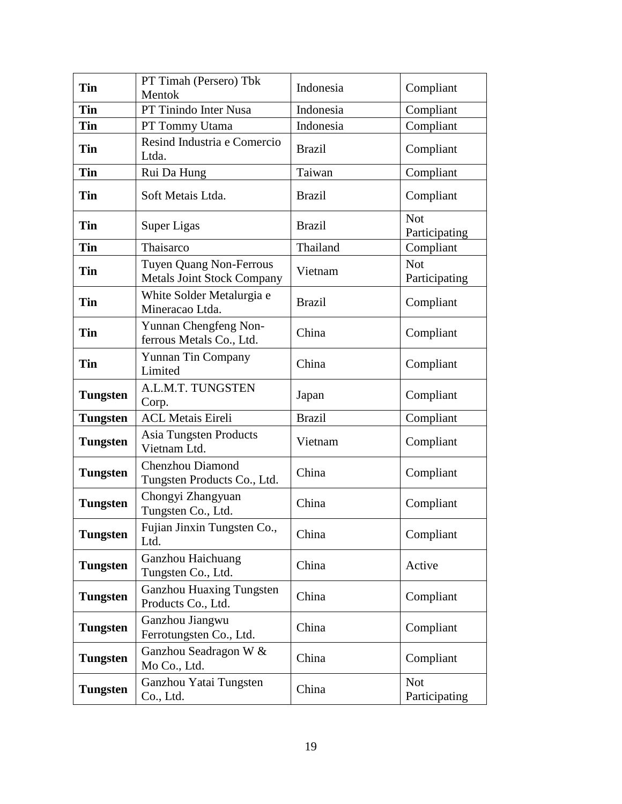| Tin             | PT Timah (Persero) Tbk<br>Mentok                             | Indonesia     | Compliant                   |
|-----------------|--------------------------------------------------------------|---------------|-----------------------------|
| <b>Tin</b>      | PT Tinindo Inter Nusa                                        | Indonesia     | Compliant                   |
| Tin             | PT Tommy Utama                                               | Indonesia     | Compliant                   |
| <b>Tin</b>      | Resind Industria e Comercio<br>Ltda.                         | <b>Brazil</b> | Compliant                   |
| Tin             | Rui Da Hung                                                  | Taiwan        | Compliant                   |
| Tin             | Soft Metais Ltda.                                            | <b>Brazil</b> | Compliant                   |
| Tin             | <b>Super Ligas</b>                                           | <b>Brazil</b> | <b>Not</b><br>Participating |
| Tin             | Thaisarco                                                    | Thailand      | Compliant                   |
| <b>Tin</b>      | Tuyen Quang Non-Ferrous<br><b>Metals Joint Stock Company</b> | Vietnam       | <b>Not</b><br>Participating |
| Tin             | White Solder Metalurgia e<br>Mineracao Ltda.                 | <b>Brazil</b> | Compliant                   |
| Tin             | Yunnan Chengfeng Non-<br>ferrous Metals Co., Ltd.            | China         | Compliant                   |
| Tin             | <b>Yunnan Tin Company</b><br>Limited                         | China         | Compliant                   |
| Tungsten        | A.L.M.T. TUNGSTEN<br>Corp.                                   | Japan         | Compliant                   |
| <b>Tungsten</b> | <b>ACL Metais Eireli</b>                                     | <b>Brazil</b> | Compliant                   |
| Tungsten        | <b>Asia Tungsten Products</b><br>Vietnam Ltd.                | Vietnam       | Compliant                   |
| Tungsten        | <b>Chenzhou Diamond</b><br>Tungsten Products Co., Ltd.       | China         | Compliant                   |
| Tungsten        | Chongyi Zhangyuan<br>Tungsten Co., Ltd.                      | China         | Compliant                   |
| <b>Tungsten</b> | Fujian Jinxin Tungsten Co.,<br>Ltd.                          | China         | Compliant                   |
| Tungsten        | Ganzhou Haichuang<br>Tungsten Co., Ltd.                      | China         | Active                      |
| Tungsten        | <b>Ganzhou Huaxing Tungsten</b><br>Products Co., Ltd.        | China         | Compliant                   |
| Tungsten        | Ganzhou Jiangwu<br>Ferrotungsten Co., Ltd.                   | China         | Compliant                   |
| Tungsten        | Ganzhou Seadragon W &<br>Mo Co., Ltd.                        | China         | Compliant                   |
| Tungsten        | Ganzhou Yatai Tungsten<br>Co., Ltd.                          | China         | <b>Not</b><br>Participating |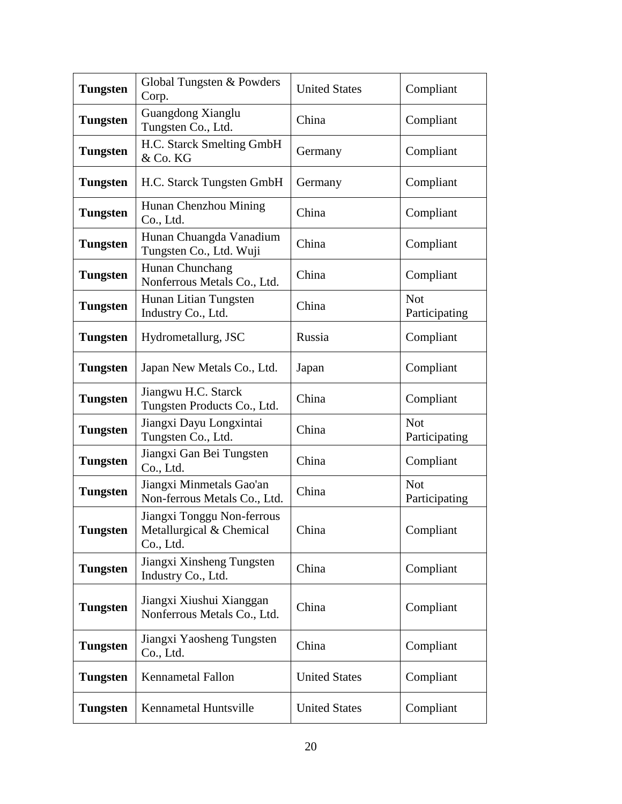| <b>Tungsten</b> | Global Tungsten & Powders<br>Corp.                                  | <b>United States</b> | Compliant                   |
|-----------------|---------------------------------------------------------------------|----------------------|-----------------------------|
| <b>Tungsten</b> | Guangdong Xianglu<br>Tungsten Co., Ltd.                             | China                | Compliant                   |
| <b>Tungsten</b> | H.C. Starck Smelting GmbH<br>& Co. KG                               | Germany              | Compliant                   |
| <b>Tungsten</b> | H.C. Starck Tungsten GmbH                                           | Germany              | Compliant                   |
| <b>Tungsten</b> | Hunan Chenzhou Mining<br>Co., Ltd.                                  | China                | Compliant                   |
| <b>Tungsten</b> | Hunan Chuangda Vanadium<br>Tungsten Co., Ltd. Wuji                  | China                | Compliant                   |
| <b>Tungsten</b> | Hunan Chunchang<br>Nonferrous Metals Co., Ltd.                      | China                | Compliant                   |
| <b>Tungsten</b> | Hunan Litian Tungsten<br>Industry Co., Ltd.                         | China                | <b>Not</b><br>Participating |
| <b>Tungsten</b> | Hydrometallurg, JSC                                                 | Russia               | Compliant                   |
| <b>Tungsten</b> | Japan New Metals Co., Ltd.                                          | Japan                | Compliant                   |
| <b>Tungsten</b> | Jiangwu H.C. Starck<br>Tungsten Products Co., Ltd.                  | China                | Compliant                   |
| <b>Tungsten</b> | Jiangxi Dayu Longxintai<br>Tungsten Co., Ltd.                       | China                | <b>Not</b><br>Participating |
| Tungsten        | Jiangxi Gan Bei Tungsten<br>Co., Ltd.                               | China                | Compliant                   |
| <b>Tungsten</b> | Jiangxi Minmetals Gao'an<br>Non-ferrous Metals Co., Ltd.            | China                | <b>Not</b><br>Participating |
| <b>Tungsten</b> | Jiangxi Tonggu Non-ferrous<br>Metallurgical & Chemical<br>Co., Ltd. | China                | Compliant                   |
| <b>Tungsten</b> | Jiangxi Xinsheng Tungsten<br>Industry Co., Ltd.                     | China                | Compliant                   |
| <b>Tungsten</b> | Jiangxi Xiushui Xianggan<br>Nonferrous Metals Co., Ltd.             | China                | Compliant                   |
| <b>Tungsten</b> | Jiangxi Yaosheng Tungsten<br>Co., Ltd.                              | China                | Compliant                   |
| <b>Tungsten</b> | <b>Kennametal Fallon</b>                                            | <b>United States</b> | Compliant                   |
| <b>Tungsten</b> | Kennametal Huntsville                                               | <b>United States</b> | Compliant                   |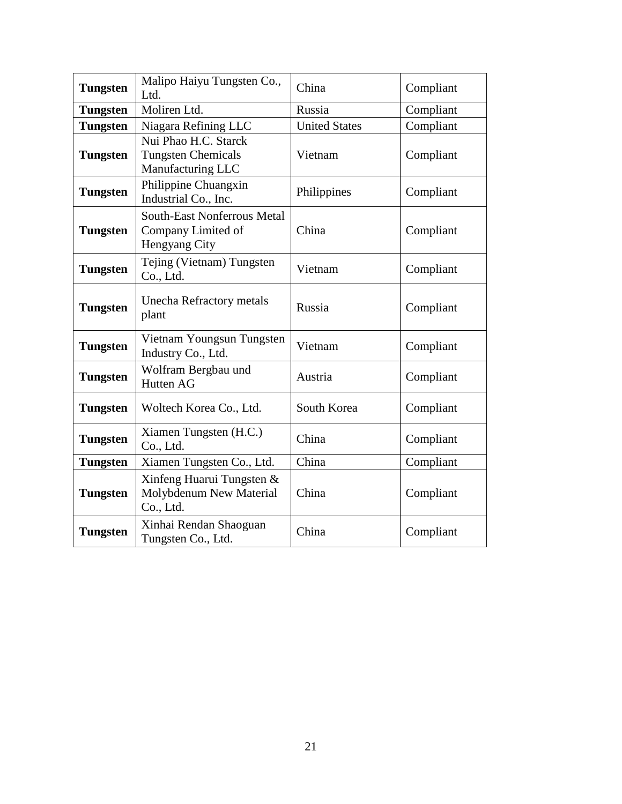| <b>Tungsten</b> | Malipo Haiyu Tungsten Co.,<br>Ltd.                                        | China                | Compliant |
|-----------------|---------------------------------------------------------------------------|----------------------|-----------|
| <b>Tungsten</b> | Moliren Ltd.                                                              | Russia               | Compliant |
| <b>Tungsten</b> | Niagara Refining LLC                                                      | <b>United States</b> | Compliant |
| <b>Tungsten</b> | Nui Phao H.C. Starck<br><b>Tungsten Chemicals</b><br>Manufacturing LLC    | Vietnam              | Compliant |
| <b>Tungsten</b> | Philippine Chuangxin<br>Industrial Co., Inc.                              | Philippines          | Compliant |
| <b>Tungsten</b> | <b>South-East Nonferrous Metal</b><br>Company Limited of<br>Hengyang City | China                | Compliant |
| <b>Tungsten</b> | Tejing (Vietnam) Tungsten<br>Co., Ltd.                                    | Vietnam              | Compliant |
| <b>Tungsten</b> | <b>Unecha Refractory metals</b><br>plant                                  | Russia               | Compliant |
| <b>Tungsten</b> | Vietnam Youngsun Tungsten<br>Industry Co., Ltd.                           | Vietnam              | Compliant |
| <b>Tungsten</b> | Wolfram Bergbau und<br>Hutten AG                                          | Austria              | Compliant |
| <b>Tungsten</b> | Woltech Korea Co., Ltd.                                                   | South Korea          | Compliant |
| <b>Tungsten</b> | Xiamen Tungsten (H.C.)<br>Co., Ltd.                                       | China                | Compliant |
| <b>Tungsten</b> | Xiamen Tungsten Co., Ltd.                                                 | China                | Compliant |
| <b>Tungsten</b> | Xinfeng Huarui Tungsten &<br>Molybdenum New Material<br>Co., Ltd.         | China                | Compliant |
| <b>Tungsten</b> | Xinhai Rendan Shaoguan<br>Tungsten Co., Ltd.                              | China                | Compliant |